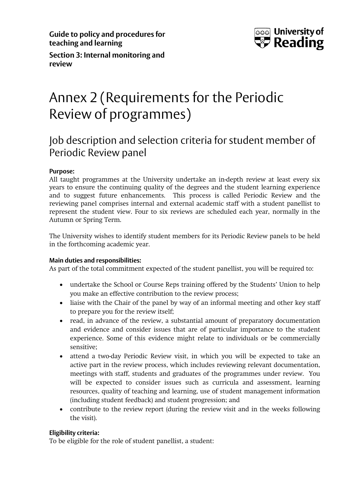**Guide to policy and procedures for teaching and learning**



**Section 3: Internal monitoring and review**

# Annex 2 (Requirements for the Periodic Review of programmes)

# Job description and selection criteria for student member of Periodic Review panel

# **Purpose:**

All taught programmes at the University undertake an in-depth review at least every six years to ensure the continuing quality of the degrees and the student learning experience and to suggest future enhancements. This process is called Periodic Review and the reviewing panel comprises internal and external academic staff with a student panellist to represent the student view. Four to six reviews are scheduled each year, normally in the Autumn or Spring Term.

The University wishes to identify student members for its Periodic Review panels to be held in the forthcoming academic year.

# **Main duties and responsibilities:**

As part of the total commitment expected of the student panellist, you will be required to:

- undertake the School or Course Reps training offered by the Students' Union to help you make an effective contribution to the review process;
- liaise with the Chair of the panel by way of an informal meeting and other key staff to prepare you for the review itself;
- read, in advance of the review, a substantial amount of preparatory documentation and evidence and consider issues that are of particular importance to the student experience. Some of this evidence might relate to individuals or be commercially sensitive;
- attend a two-day Periodic Review visit, in which you will be expected to take an active part in the review process, which includes reviewing relevant documentation, meetings with staff, students and graduates of the programmes under review. You will be expected to consider issues such as curricula and assessment, learning resources, quality of teaching and learning, use of student management information (including student feedback) and student progression; and
- contribute to the review report (during the review visit and in the weeks following the visit).

# **Eligibility criteria:**

To be eligible for the role of student panellist, a student: